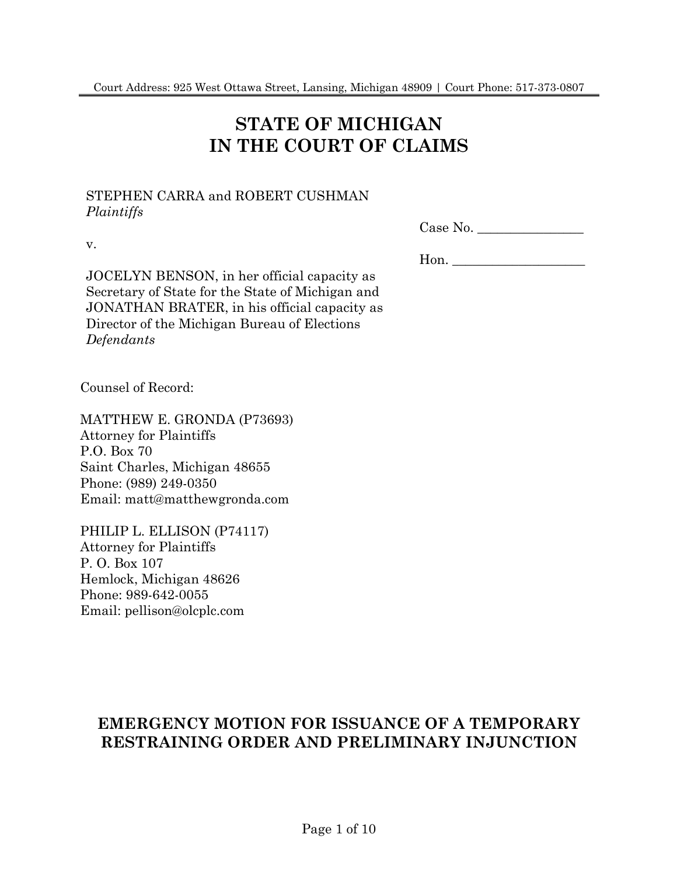# **STATE OF MICHIGAN IN THE COURT OF CLAIMS**

### STEPHEN CARRA and ROBERT CUSHMAN *Plaintiffs*

v.

| Case No. |  |
|----------|--|
|----------|--|

JOCELYN BENSON, in her official capacity as Secretary of State for the State of Michigan and JONATHAN BRATER, in his official capacity as Director of the Michigan Bureau of Elections

Counsel of Record:

*Defendants*

MATTHEW E. GRONDA (P73693) Attorney for Plaintiffs P.O. Box 70 Saint Charles, Michigan 48655 Phone: (989) 249-0350 Email: matt@matthewgronda.com

PHILIP L. ELLISON (P74117) Attorney for Plaintiffs P. O. Box 107 Hemlock, Michigan 48626 Phone: 989-642-0055 Email: pellison@olcplc.com

Hon. \_\_\_\_\_\_\_\_\_\_\_\_\_\_\_\_\_\_\_\_

## **EMERGENCY MOTION FOR ISSUANCE OF A TEMPORARY RESTRAINING ORDER AND PRELIMINARY INJUNCTION**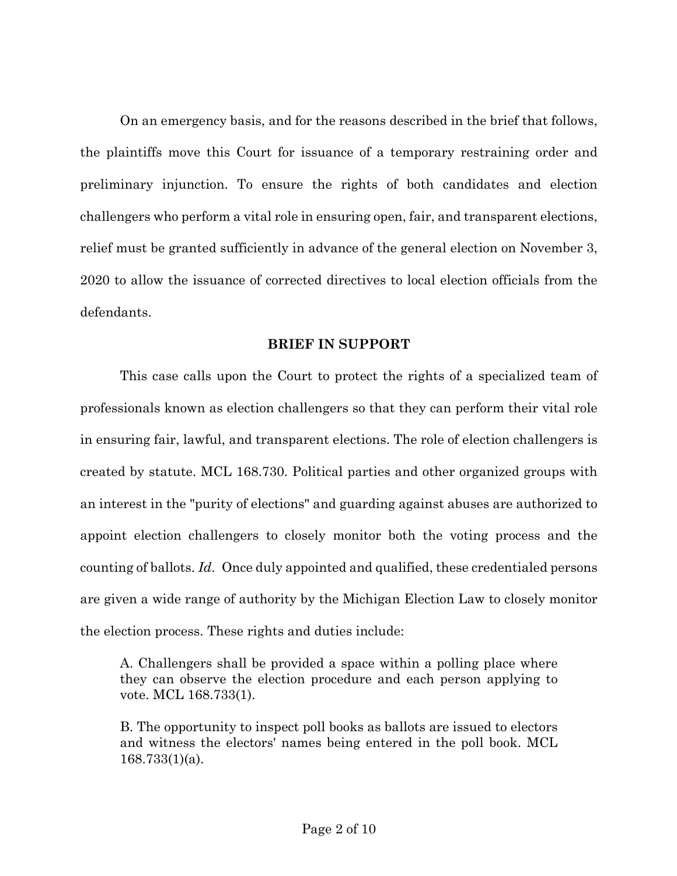On an emergency basis, and for the reasons described in the brief that follows, the plaintiffs move this Court for issuance of a temporary restraining order and preliminary injunction. To ensure the rights of both candidates and election challengers who perform a vital role in ensuring open, fair, and transparent elections, relief must be granted sufficiently in advance of the general election on November 3, 2020 to allow the issuance of corrected directives to local election officials from the defendants.

### **BRIEF IN SUPPORT**

This case calls upon the Court to protect the rights of a specialized team of professionals known as election challengers so that they can perform their vital role in ensuring fair, lawful, and transparent elections. The role of election challengers is created by statute. MCL 168.730. Political parties and other organized groups with an interest in the "purity of elections" and guarding against abuses are authorized to appoint election challengers to closely monitor both the voting process and the counting of ballots. *Id*. Once duly appointed and qualified, these credentialed persons are given a wide range of authority by the Michigan Election Law to closely monitor the election process. These rights and duties include:

A. Challengers shall be provided a space within a polling place where they can observe the election procedure and each person applying to vote. MCL 168.733(1).

B. The opportunity to inspect poll books as ballots are issued to electors and witness the electors' names being entered in the poll book. MCL 168.733(1)(a).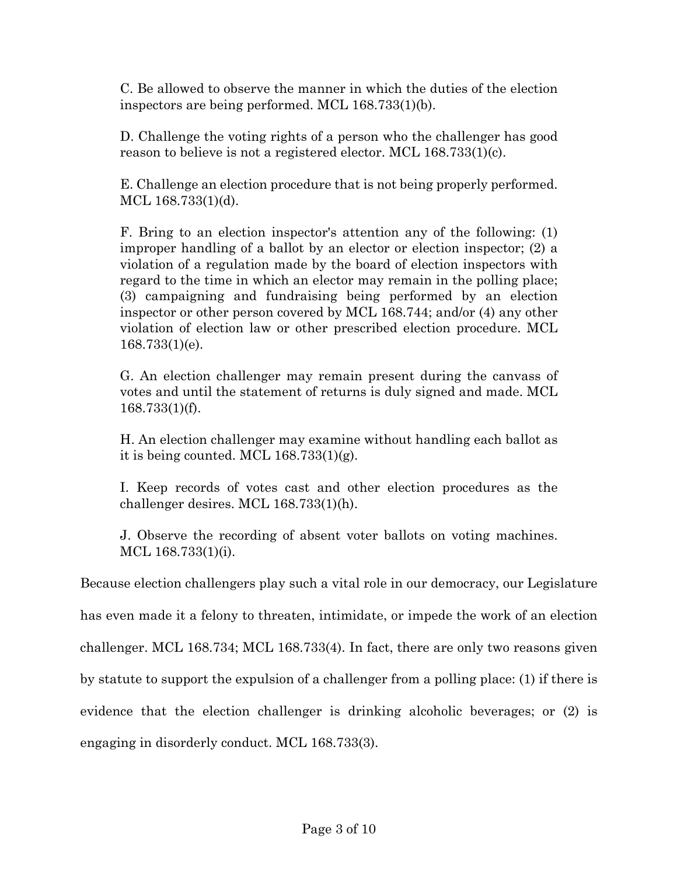C. Be allowed to observe the manner in which the duties of the election inspectors are being performed. MCL 168.733(1)(b).

D. Challenge the voting rights of a person who the challenger has good reason to believe is not a registered elector. MCL 168.733(1)(c).

E. Challenge an election procedure that is not being properly performed. MCL 168.733(1)(d).

F. Bring to an election inspector's attention any of the following: (1) improper handling of a ballot by an elector or election inspector; (2) a violation of a regulation made by the board of election inspectors with regard to the time in which an elector may remain in the polling place; (3) campaigning and fundraising being performed by an election inspector or other person covered by MCL 168.744; and/or (4) any other violation of election law or other prescribed election procedure. MCL 168.733(1)(e).

G. An election challenger may remain present during the canvass of votes and until the statement of returns is duly signed and made. MCL 168.733(1)(f).

H. An election challenger may examine without handling each ballot as it is being counted. MCL 168.733(1)(g).

I. Keep records of votes cast and other election procedures as the challenger desires. MCL 168.733(1)(h).

J. Observe the recording of absent voter ballots on voting machines. MCL 168.733(1)(i).

Because election challengers play such a vital role in our democracy, our Legislature

has even made it a felony to threaten, intimidate, or impede the work of an election

challenger. MCL 168.734; MCL 168.733(4). In fact, there are only two reasons given

by statute to support the expulsion of a challenger from a polling place: (1) if there is

evidence that the election challenger is drinking alcoholic beverages; or (2) is

engaging in disorderly conduct. MCL 168.733(3).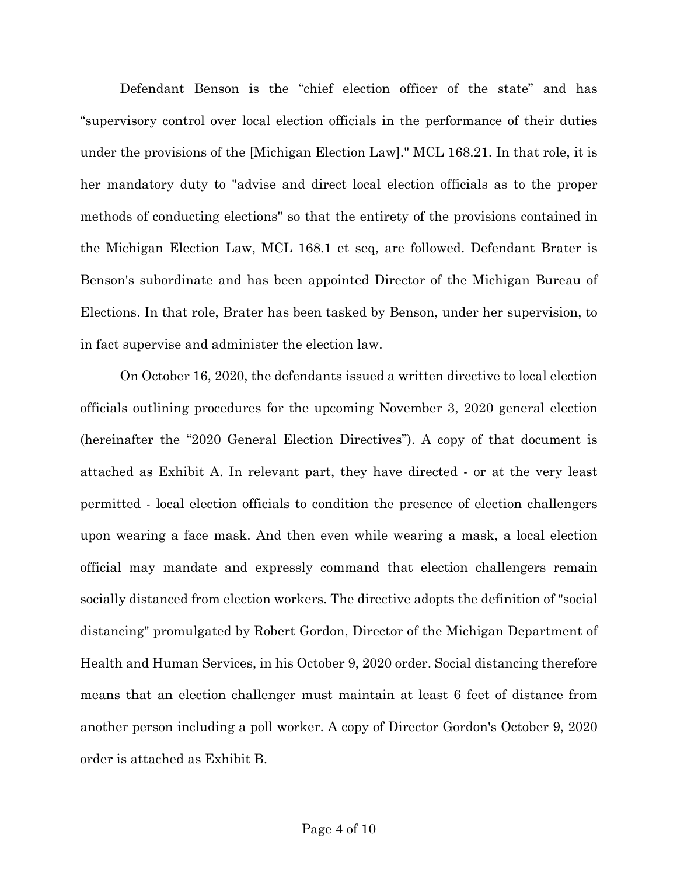Defendant Benson is the "chief election officer of the state" and has "supervisory control over local election officials in the performance of their duties under the provisions of the [Michigan Election Law]." MCL 168.21. In that role, it is her mandatory duty to "advise and direct local election officials as to the proper methods of conducting elections" so that the entirety of the provisions contained in the Michigan Election Law, MCL 168.1 et seq, are followed. Defendant Brater is Benson's subordinate and has been appointed Director of the Michigan Bureau of Elections. In that role, Brater has been tasked by Benson, under her supervision, to in fact supervise and administer the election law.

On October 16, 2020, the defendants issued a written directive to local election officials outlining procedures for the upcoming November 3, 2020 general election (hereinafter the "2020 General Election Directives"). A copy of that document is attached as Exhibit A. In relevant part, they have directed - or at the very least permitted - local election officials to condition the presence of election challengers upon wearing a face mask. And then even while wearing a mask, a local election official may mandate and expressly command that election challengers remain socially distanced from election workers. The directive adopts the definition of "social distancing" promulgated by Robert Gordon, Director of the Michigan Department of Health and Human Services, in his October 9, 2020 order. Social distancing therefore means that an election challenger must maintain at least 6 feet of distance from another person including a poll worker. A copy of Director Gordon's October 9, 2020 order is attached as Exhibit B.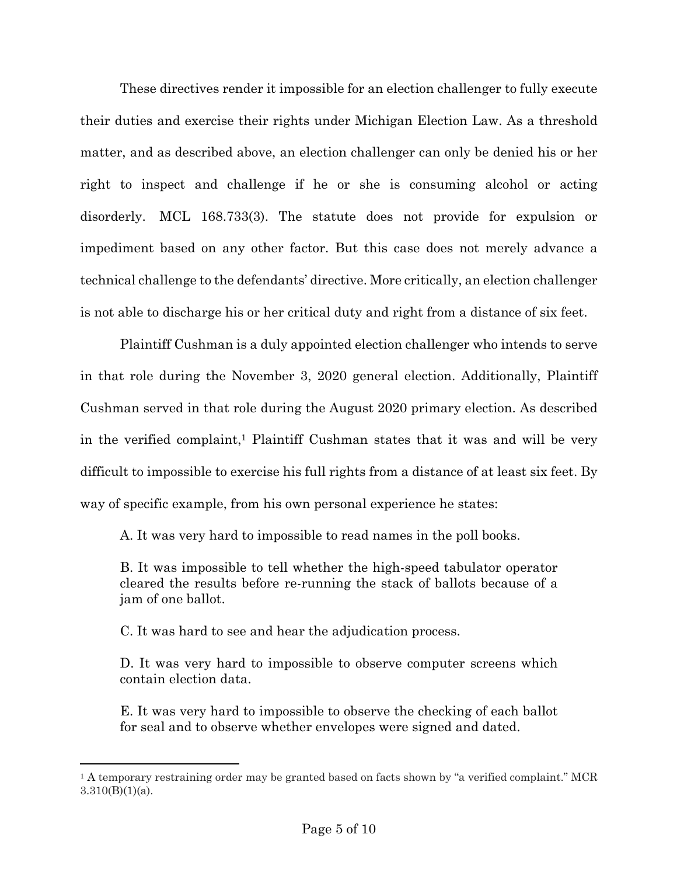These directives render it impossible for an election challenger to fully execute their duties and exercise their rights under Michigan Election Law. As a threshold matter, and as described above, an election challenger can only be denied his or her right to inspect and challenge if he or she is consuming alcohol or acting disorderly. MCL 168.733(3). The statute does not provide for expulsion or impediment based on any other factor. But this case does not merely advance a technical challenge to the defendants' directive. More critically, an election challenger is not able to discharge his or her critical duty and right from a distance of six feet.

Plaintiff Cushman is a duly appointed election challenger who intends to serve in that role during the November 3, 2020 general election. Additionally, Plaintiff Cushman served in that role during the August 2020 primary election. As described in the verified complaint,<sup>1</sup> Plaintiff Cushman states that it was and will be very difficult to impossible to exercise his full rights from a distance of at least six feet. By way of specific example, from his own personal experience he states:

A. It was very hard to impossible to read names in the poll books.

B. It was impossible to tell whether the high-speed tabulator operator cleared the results before re-running the stack of ballots because of a jam of one ballot.

C. It was hard to see and hear the adjudication process.

D. It was very hard to impossible to observe computer screens which contain election data.

E. It was very hard to impossible to observe the checking of each ballot for seal and to observe whether envelopes were signed and dated.

<sup>1</sup> A temporary restraining order may be granted based on facts shown by "a verified complaint." MCR  $3.310(B)(1)(a)$ .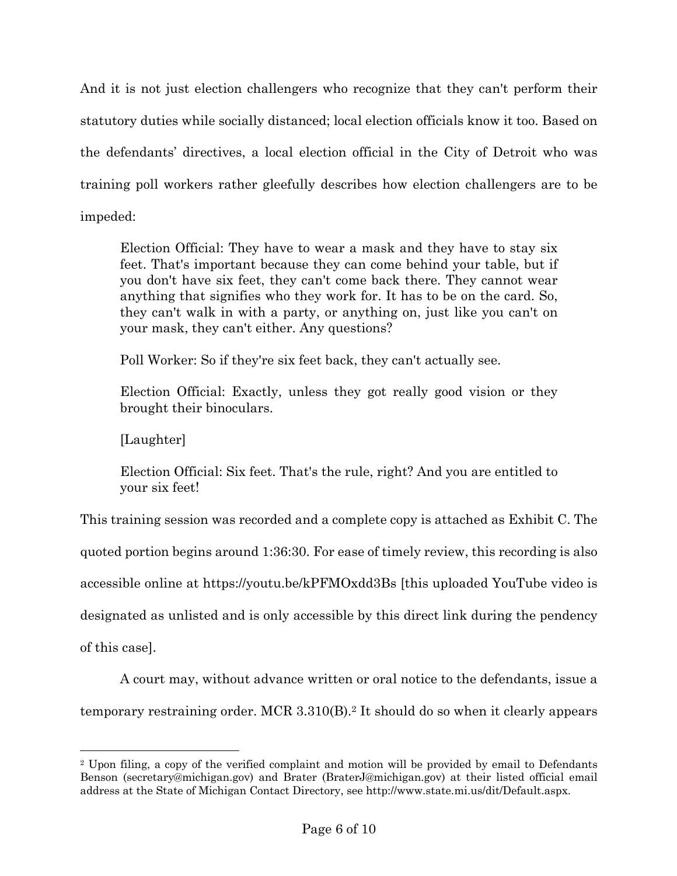And it is not just election challengers who recognize that they can't perform their statutory duties while socially distanced; local election officials know it too. Based on the defendants' directives, a local election official in the City of Detroit who was training poll workers rather gleefully describes how election challengers are to be impeded:

Election Official: They have to wear a mask and they have to stay six feet. That's important because they can come behind your table, but if you don't have six feet, they can't come back there. They cannot wear anything that signifies who they work for. It has to be on the card. So, they can't walk in with a party, or anything on, just like you can't on your mask, they can't either. Any questions?

Poll Worker: So if they're six feet back, they can't actually see.

Election Official: Exactly, unless they got really good vision or they brought their binoculars.

[Laughter]

Election Official: Six feet. That's the rule, right? And you are entitled to your six feet!

This training session was recorded and a complete copy is attached as Exhibit C. The quoted portion begins around 1:36:30. For ease of timely review, this recording is also accessible online at https://youtu.be/kPFMOxdd3Bs [this uploaded YouTube video is designated as unlisted and is only accessible by this direct link during the pendency of this case].

A court may, without advance written or oral notice to the defendants, issue a temporary restraining order. MCR 3.310(B).2 It should do so when it clearly appears

<sup>2</sup> Upon filing, a copy of the verified complaint and motion will be provided by email to Defendants Benson (secretary@michigan.gov) and Brater (BraterJ@michigan.gov) at their listed official email address at the State of Michigan Contact Directory, see http://www.state.mi.us/dit/Default.aspx.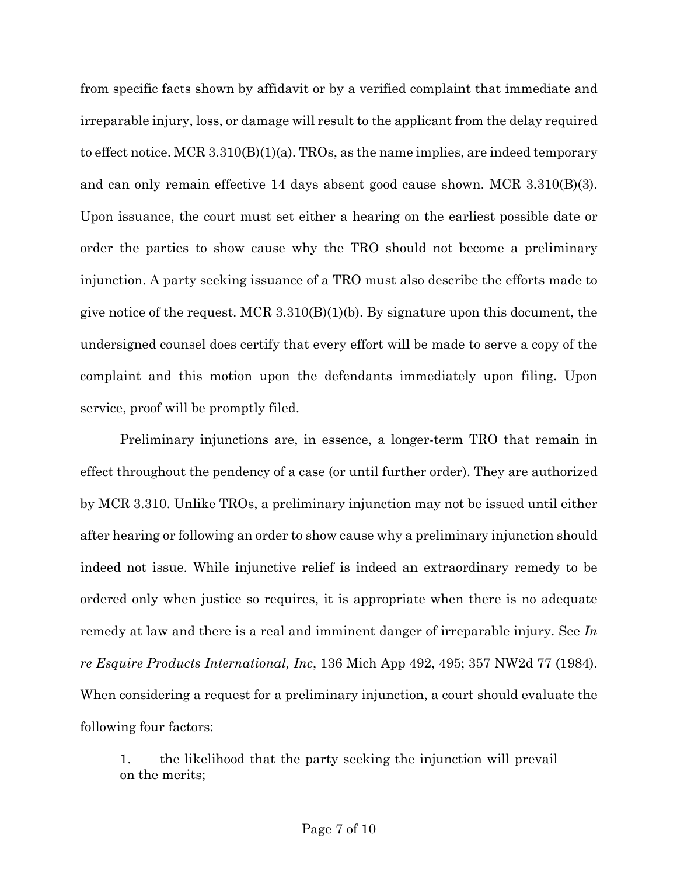from specific facts shown by affidavit or by a verified complaint that immediate and irreparable injury, loss, or damage will result to the applicant from the delay required to effect notice. MCR 3.310(B)(1)(a). TROs, as the name implies, are indeed temporary and can only remain effective 14 days absent good cause shown. MCR 3.310(B)(3). Upon issuance, the court must set either a hearing on the earliest possible date or order the parties to show cause why the TRO should not become a preliminary injunction. A party seeking issuance of a TRO must also describe the efforts made to give notice of the request. MCR  $3.310(B)(1)(b)$ . By signature upon this document, the undersigned counsel does certify that every effort will be made to serve a copy of the complaint and this motion upon the defendants immediately upon filing. Upon service, proof will be promptly filed.

Preliminary injunctions are, in essence, a longer-term TRO that remain in effect throughout the pendency of a case (or until further order). They are authorized by MCR 3.310. Unlike TROs, a preliminary injunction may not be issued until either after hearing or following an order to show cause why a preliminary injunction should indeed not issue. While injunctive relief is indeed an extraordinary remedy to be ordered only when justice so requires, it is appropriate when there is no adequate remedy at law and there is a real and imminent danger of irreparable injury. See *In re Esquire Products International, Inc*, 136 Mich App 492, 495; 357 NW2d 77 (1984). When considering a request for a preliminary injunction, a court should evaluate the following four factors:

1. the likelihood that the party seeking the injunction will prevail on the merits;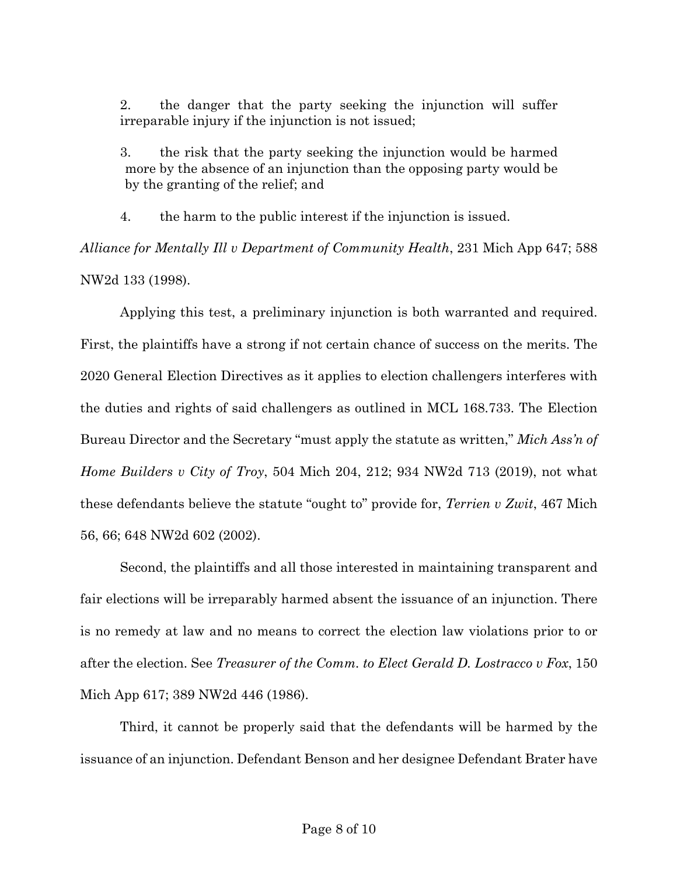2. the danger that the party seeking the injunction will suffer irreparable injury if the injunction is not issued;

3. the risk that the party seeking the injunction would be harmed more by the absence of an injunction than the opposing party would be by the granting of the relief; and

4. the harm to the public interest if the injunction is issued.

*Alliance for Mentally Ill v Department of Community Health*, 231 Mich App 647; 588 NW2d 133 (1998).

Applying this test, a preliminary injunction is both warranted and required. First, the plaintiffs have a strong if not certain chance of success on the merits. The 2020 General Election Directives as it applies to election challengers interferes with the duties and rights of said challengers as outlined in MCL 168.733. The Election Bureau Director and the Secretary "must apply the statute as written," *Mich Ass'n of Home Builders v City of Troy*, 504 Mich 204, 212; 934 NW2d 713 (2019), not what these defendants believe the statute "ought to" provide for, *Terrien v Zwit*, 467 Mich 56, 66; 648 NW2d 602 (2002).

Second, the plaintiffs and all those interested in maintaining transparent and fair elections will be irreparably harmed absent the issuance of an injunction. There is no remedy at law and no means to correct the election law violations prior to or after the election. See *Treasurer of the Comm. to Elect Gerald D. Lostracco v Fox*, 150 Mich App 617; 389 NW2d 446 (1986).

Third, it cannot be properly said that the defendants will be harmed by the issuance of an injunction. Defendant Benson and her designee Defendant Brater have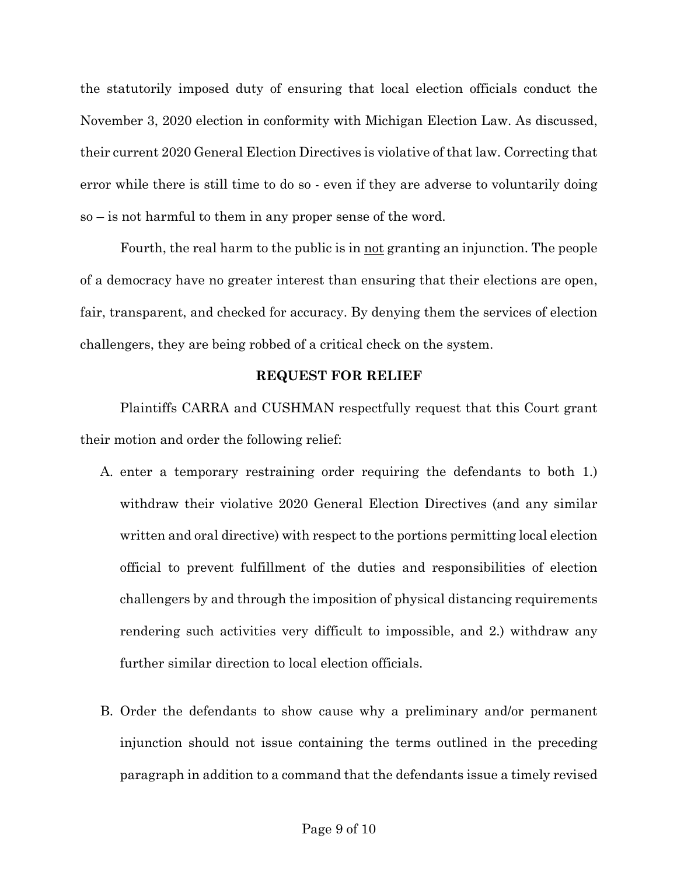the statutorily imposed duty of ensuring that local election officials conduct the November 3, 2020 election in conformity with Michigan Election Law. As discussed, their current 2020 General Election Directives is violative of that law. Correcting that error while there is still time to do so - even if they are adverse to voluntarily doing so – is not harmful to them in any proper sense of the word.

Fourth, the real harm to the public is in not granting an injunction. The people of a democracy have no greater interest than ensuring that their elections are open, fair, transparent, and checked for accuracy. By denying them the services of election challengers, they are being robbed of a critical check on the system.

### **REQUEST FOR RELIEF**

Plaintiffs CARRA and CUSHMAN respectfully request that this Court grant their motion and order the following relief:

- A. enter a temporary restraining order requiring the defendants to both 1.) withdraw their violative 2020 General Election Directives (and any similar written and oral directive) with respect to the portions permitting local election official to prevent fulfillment of the duties and responsibilities of election challengers by and through the imposition of physical distancing requirements rendering such activities very difficult to impossible, and 2.) withdraw any further similar direction to local election officials.
- B. Order the defendants to show cause why a preliminary and/or permanent injunction should not issue containing the terms outlined in the preceding paragraph in addition to a command that the defendants issue a timely revised